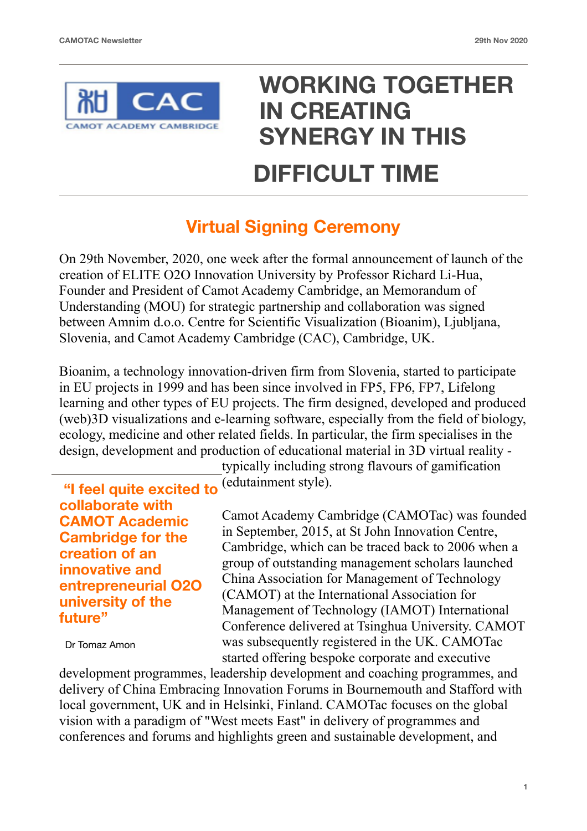

## **WORKING TOGETHER IN CREATING SYNERGY IN THIS DIFFICULT TIME**

## **Virtual Signing Ceremony**

On 29th November, 2020, one week after the formal announcement of launch of the creation of ELITE O2O Innovation University by Professor Richard Li-Hua, Founder and President of Camot Academy Cambridge, an Memorandum of Understanding (MOU) for strategic partnership and collaboration was signed between Amnim d.o.o. Centre for Scientific Visualization (Bioanim), Ljubljana, Slovenia, and Camot Academy Cambridge (CAC), Cambridge, UK.

Bioanim, a technology innovation-driven firm from Slovenia, started to participate in EU projects in 1999 and has been since involved in FP5, FP6, FP7, Lifelong learning and other types of EU projects. The firm designed, developed and produced (web)3D visualizations and e-learning software, especially from the field of biology, ecology, medicine and other related fields. In particular, the firm specialises in the design, development and production of educational material in 3D virtual reality -

 **"I feel quite excited to collaborate with CAMOT Academic Cambridge for the creation of an innovative and entrepreneurial O2O university of the future"** 

Dr Tomaz Amon

typically including strong flavours of gamification (edutainment style).

Camot Academy Cambridge (CAMOTac) was founded in September, 2015, at St John Innovation Centre, Cambridge, which can be traced back to 2006 when a group of outstanding management scholars launched China Association for Management of Technology (CAMOT) at the International Association for Management of Technology (IAMOT) International Conference delivered at Tsinghua University. CAMOT was subsequently registered in the UK. CAMOTac started offering bespoke corporate and executive

development programmes, leadership development and coaching programmes, and delivery of China Embracing Innovation Forums in Bournemouth and Stafford with local government, UK and in Helsinki, Finland. CAMOTac focuses on the global vision with a paradigm of "West meets East" in delivery of programmes and conferences and forums and highlights green and sustainable development, and